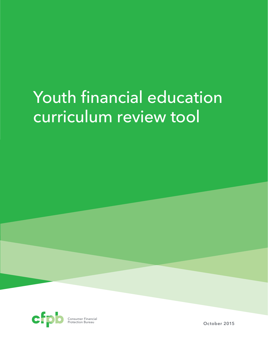# Youth financial education curriculum review tool



**October 2015**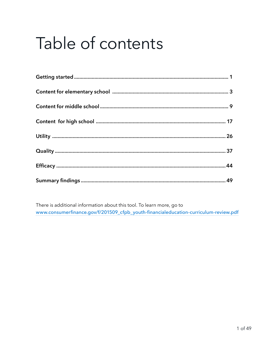# Table of contents

There is additional information about this tool. To learn more, go to www.consumerfinance.gov/f/201509\_cfpb\_youth-financialeducation-curriculum-review.pdf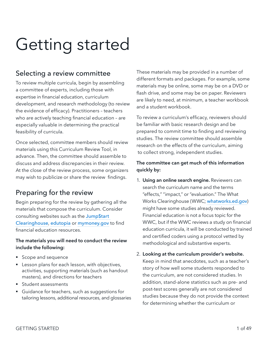# <span id="page-2-0"></span>Getting started

#### Selecting a review committee

To review multiple curricula, begin by assembling a committee of experts, including those with expertise in financial education, curriculum development, and research methodology (to review the evidence of efficacy). Practitioners – teachers who are actively teaching financial education – are especially valuable in determining the practical feasibility of curricula.

Once selected, committee members should review materials using this Curriculum Review Tool, in advance. Then, the committee should assemble to discuss and address discrepancies in their review. At the close of the review process, some organizers may wish to publicize or share the review findings.

### Preparing for the review

Begin preparing for the review by gathering all the materials that compose the curriculum. Consider consulting websites such as the [Jump\\$tart](http://www.jumpstart.org/jump$tart-clearinghouse.html)  [Clearinghouse](http://www.jumpstart.org/jump$tart-clearinghouse.html), [edutopia](http://www.edutopia.org) or [mymoney.gov](http://mymoney.gov) to find financial education resources.

#### **The materials you will need to conduct the review include the following:**

- Scope and sequence
- Lesson plans for each lesson, with objectives, activities, supporting materials (such as handout masters), and directions for teachers
- § Student assessments
- Guidance for teachers, such as suggestions for tailoring lessons, additional resources, and glossaries

These materials may be provided in a number of different formats and packages. For example, some materials may be online, some may be on a DVD or flash drive, and some may be on paper. Reviewers are likely to need, at minimum, a teacher workbook and a student workbook.

To review a curriculum's efficacy, reviewers should be familiar with basic research design and be prepared to commit time to finding and reviewing studies. The review committee should assemble research on the effects of the curriculum, aiming to collect strong, independent studies.

#### **The committee can get much of this information quickly by:**

- 1. **Using an online search engine.** Reviewers can search the curriculum name and the terms "effects," "impact," or "evaluation." The What Works Clearinghouse (WWC; [whatworks.ed.gov](http://whatworks.ed.gov)) might have some studies already reviewed. Financial education is not a focus topic for the WWC, but if the WWC reviews a study on financial education curricula, it will be conducted by trained and certified coders using a protocol vetted by methodological and substantive experts.
- 2. **Looking at the curriculum provider's website.**  Keep in mind that anecdotes, such as a teacher's story of how well some students responded to the curriculum, are not considered studies. In addition, stand-alone statistics such as pre- and post-test scores generally are not considered studies because they do not provide the context for determining whether the curriculum or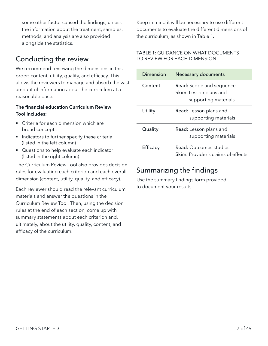some other factor caused the findings, unless the information about the treatment, samples, methods, and analysis are also provided alongside the statistics.

# Conducting the review

We recommend reviewing the dimensions in this order: content, utility, quality, and efficacy. This allows the reviewers to manage and absorb the vast amount of information about the curriculum at a reasonable pace.

#### **The financial education Curriculum Review Tool includes:**

- Criteria for each dimension which are broad concepts
- Indicators to further specify these criteria (listed in the left column)
- Questions to help evaluate each indicator (listed in the right column)

The Curriculum Review Tool also provides decision rules for evaluating each criterion and each overall dimension (content, utility, quality, and efficacy).

Each reviewer should read the relevant curriculum materials and answer the questions in the Curriculum Review Tool. Then, using the decision rules at the end of each section, come up with summary statements about each criterion and, ultimately, about the utility, quality, content, and efficacy of the curriculum.

Keep in mind it will be necessary to use different documents to evaluate the different dimensions of the curriculum, as shown in Table 1.

#### TABLE 1: GUIDANCE ON WHAT DOCUMENTS TO REVIEW FOR EACH DIMENSION

| Dimension | Necessary documents                                                               |
|-----------|-----------------------------------------------------------------------------------|
| Content   | <b>Read:</b> Scope and sequence<br>Skim: Lesson plans and<br>supporting materials |
| Utility   | <b>Read:</b> Lesson plans and<br>supporting materials                             |
| Quality   | <b>Read:</b> Lesson plans and<br>supporting materials                             |
| Efficacy  | Read: Outcomes studies<br>Skim: Provider's claims of effects                      |

# Summarizing the findings

Use the summary findings form provided to document your results.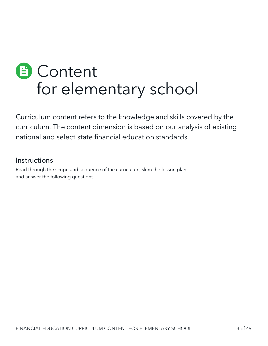# <span id="page-4-0"></span>**■ Content** for elementary school

Curriculum content refers to the knowledge and skills covered by the curriculum. The content dimension is based on our analysis of existing national and select state financial education standards.

#### **Instructions**

Read through the scope and sequence of the curriculum, skim the lesson plans, and answer the following questions.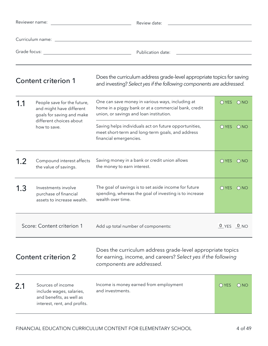|                                         | Reviewer name:<br>Review date:<br><u> 1980 - Johann Barbara, martxa alemaniar a</u>                       |                                                                                                                                                          |                |                 |
|-----------------------------------------|-----------------------------------------------------------------------------------------------------------|----------------------------------------------------------------------------------------------------------------------------------------------------------|----------------|-----------------|
|                                         |                                                                                                           |                                                                                                                                                          |                |                 |
| Grade focus:                            | <u> 1980 - Johann Barbara, martxa alemaniar a</u>                                                         | Publication date:                                                                                                                                        |                |                 |
| Content criterion 1                     |                                                                                                           | Does the curriculum address grade-level appropriate topics for saving<br>and investing? Select yes if the following components are addressed.            |                |                 |
| 1.1                                     | People save for the future,<br>and might have different<br>goals for saving and make                      | One can save money in various ways, including at<br>home in a piggy bank or at a commercial bank, credit<br>union, or savings and loan institution.      | OYES ONO       |                 |
| different choices about<br>how to save. |                                                                                                           | Saving helps individuals act on future opportunities,<br>meet short-term and long-term goals, and address<br>financial emergencies.                      | OYES ONO       |                 |
| 1.2                                     | Compound interest affects<br>the value of savings.                                                        | Saving money in a bank or credit union allows<br>the money to earn interest.                                                                             | O YES          | ONO             |
| 1.3                                     | Investments involve<br>purchase of financial<br>assets to increase wealth.                                | The goal of savings is to set aside income for future<br>spending, whereas the goal of investing is to increase<br>wealth over time.                     | OYES ONO       |                 |
|                                         | Score: Content criterion 1                                                                                | Add up total number of components:                                                                                                                       | $0$ YES $0$ NO |                 |
| <b>Content criterion 2</b>              |                                                                                                           | Does the curriculum address grade-level appropriate topics<br>for earning, income, and careers? Select yes if the following<br>components are addressed. |                |                 |
| 2.1                                     | Sources of income<br>include wages, salaries,<br>and benefits, as well as<br>interest, rent, and profits. | Income is money earned from employment<br>and investments.                                                                                               | $O$ YES        | O <sub>NO</sub> |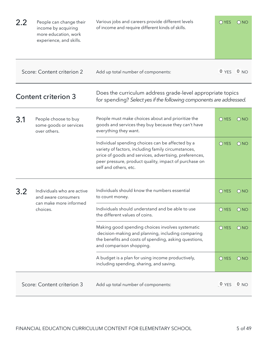| 2.2 | People can change their<br>income by acquiring<br>more education, work<br>experience, and skills. | Various jobs and careers provide different levels<br>of income and require different kinds of skills.                                                                                                                                               | $O$ YES        | $\bigcirc$ NO   |
|-----|---------------------------------------------------------------------------------------------------|-----------------------------------------------------------------------------------------------------------------------------------------------------------------------------------------------------------------------------------------------------|----------------|-----------------|
|     | Score: Content criterion 2                                                                        | Add up total number of components:                                                                                                                                                                                                                  | $0$ YES $0$ NO |                 |
|     | <b>Content criterion 3</b>                                                                        | Does the curriculum address grade-level appropriate topics<br>for spending? Select yes if the following components are addressed.                                                                                                                   |                |                 |
| 3.1 | People choose to buy<br>some goods or services<br>over others.                                    | People must make choices about and prioritize the<br>goods and services they buy because they can't have<br>everything they want.                                                                                                                   | $O$ YES        | ONO             |
|     |                                                                                                   | Individual spending choices can be affected by a<br>variety of factors, including family circumstances,<br>price of goods and services, advertising, preferences,<br>peer pressure, product quality, impact of purchase on<br>self and others, etc. | O YES          | $\bigcirc$ NO   |
| 3.2 | Individuals who are active<br>and aware consumers                                                 | Individuals should know the numbers essential<br>to count money.                                                                                                                                                                                    | $O$ YES        | O NO            |
|     | can make more informed<br>choices.                                                                | Individuals should understand and be able to use<br>the different values of coins.                                                                                                                                                                  | <b>O</b> YES   | O NO            |
|     |                                                                                                   | Making good spending choices involves systematic<br>decision-making and planning, including comparing<br>the benefits and costs of spending, asking questions,<br>and comparison shopping.                                                          | O YES          | $\bigcirc$ NO   |
|     |                                                                                                   | A budget is a plan for using income productively,<br>including spending, sharing, and saving.                                                                                                                                                       | O YES          | ONO             |
|     | Score: Content criterion 3                                                                        | Add up total number of components:                                                                                                                                                                                                                  | $0$ YES        | 0 <sub>NO</sub> |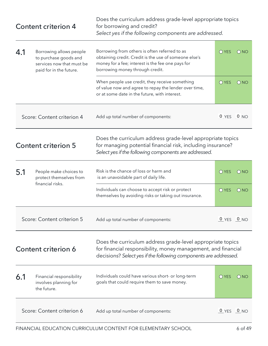|     | <b>Content criterion 4</b>                                                                               | Does the curriculum address grade-level appropriate topics<br>for borrowing and credit?<br>Select yes if the following components are addressed.                                                |                |                 |
|-----|----------------------------------------------------------------------------------------------------------|-------------------------------------------------------------------------------------------------------------------------------------------------------------------------------------------------|----------------|-----------------|
| 4.1 | Borrowing allows people<br>to purchase goods and<br>services now that must be<br>paid for in the future. | Borrowing from others is often referred to as<br>obtaining credit. Credit is the use of someone else's<br>money for a fee; interest is the fee one pays for<br>borrowing money through credit.  | $O$ YES        | ONO             |
|     |                                                                                                          | When people use credit, they receive something<br>of value now and agree to repay the lender over time,<br>or at some date in the future, with interest.                                        | O YES          | O NO            |
|     | Score: Content criterion 4                                                                               | Add up total number of components:                                                                                                                                                              | 0 YES 0 NO     |                 |
|     | <b>Content criterion 5</b>                                                                               | Does the curriculum address grade-level appropriate topics<br>for managing potential financial risk, including insurance?<br>Select yes if the following components are addressed.              |                |                 |
| 5.1 | People make choices to<br>protect themselves from                                                        | Risk is the chance of loss or harm and<br>is an unavoidable part of daily life.                                                                                                                 | $O$ YES        | ONO             |
|     | financial risks.                                                                                         | Individuals can choose to accept risk or protect<br>themselves by avoiding risks or taking out insurance.                                                                                       | $O$ YES        | O NO            |
|     | Score: Content criterion 5                                                                               | Add up total number of components:                                                                                                                                                              | $0$ YES $0$ NO |                 |
|     | Content criterion 6                                                                                      | Does the curriculum address grade-level appropriate topics<br>for financial responsibility, money management, and financial<br>decisions? Select yes if the following components are addressed. |                |                 |
| 6.1 | Financial responsibility<br>involves planning for<br>the future.                                         | Individuals could have various short- or long-term<br>goals that could require them to save money.                                                                                              | $\bigcirc$ YES | ONO             |
|     | Score: Content criterion 6                                                                               | Add up total number of components:                                                                                                                                                              | 0 YES          | 0 <sub>NO</sub> |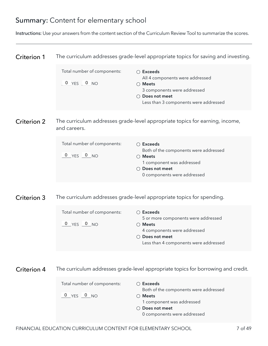# Summary: Content for elementary school

Instructions: Use your answers from the content section of the Curriculum Review Tool to summarize the scores.

| <b>Criterion 1</b> |                                                                   | The curriculum addresses grade-level appropriate topics for saving and investing.                                                                                        |
|--------------------|-------------------------------------------------------------------|--------------------------------------------------------------------------------------------------------------------------------------------------------------------------|
|                    | Total number of components:<br>0 YES 0 NO                         | $\bigcirc$ Exceeds<br>All 4 components were addressed<br>$\bigcirc$ Meets<br>3 components were addressed<br>○ Does not meet<br>Less than 3 components were addressed     |
| <b>Criterion 2</b> | and careers.                                                      | The curriculum addresses grade-level appropriate topics for earning, income,                                                                                             |
|                    | Total number of components:<br>$0$ YES $0$ NO                     | $\bigcirc$ Exceeds<br>Both of the components were addressed<br>$\bigcirc$ Meets<br>1 component was addressed<br>○ Does not meet<br>0 components were addressed           |
| <b>Criterion 3</b> |                                                                   | The curriculum addresses grade-level appropriate topics for spending.                                                                                                    |
|                    | Total number of components:<br>$0$ YES $0$ NO                     | $\bigcirc$ Exceeds<br>5 or more components were addressed<br>$\bigcirc$ Meets<br>4 components were addressed<br>○ Does not meet<br>Less than 4 components were addressed |
| Criterion 4        |                                                                   | The curriculum addresses grade-level appropriate topics for borrowing and credit.                                                                                        |
|                    | Total number of components:<br>$\frac{0}{0}$ YES $\frac{0}{0}$ NO | $\bigcirc$ Exceeds<br>Both of the components were addressed<br>$\bigcirc$ Meets<br>1 component was addressed<br>○ Does not meet<br>0 components were addressed           |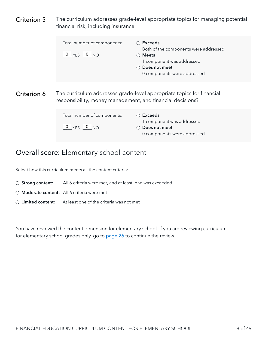<span id="page-9-0"></span>

| Criterion 5 | financial risk, including insurance.                       | The curriculum addresses grade-level appropriate topics for managing potential                                                                               |
|-------------|------------------------------------------------------------|--------------------------------------------------------------------------------------------------------------------------------------------------------------|
|             | Total number of components:<br>$0$ $YES$ $0$ $NO$          | $\bigcirc$ Exceeds<br>Both of the components were addressed<br>$\bigcirc$ Meets<br>1 component was addressed<br>Does not meet<br>0 components were addressed |
| Criterion 6 | responsibility, money management, and financial decisions? | The curriculum addresses grade-level appropriate topics for financial                                                                                        |
|             | Total number of components:<br>$0$ $YES$ $0$ $NO$          | ○ Exceeds<br>1 component was addressed<br>Does not meet<br>0 components were addressed                                                                       |
|             | <b>Overall score: Elementary school content</b>            |                                                                                                                                                              |

You have reviewed the content dimension for elementary school. If you are reviewing curriculum for elementary school grades only, go to [page 26](#page-27-0) to continue the review.

Select how this curriculum meets all the content criteria:

 **Limited content:** At least one of the criteria was not met

 **Moderate content:** All 6 criteria were met

 **Strong content**: All 6 criteria were met, and at least one was exceeded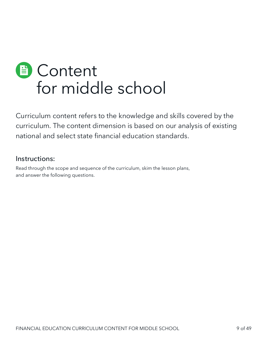<span id="page-10-0"></span>

Curriculum content refers to the knowledge and skills covered by the curriculum. The content dimension is based on our analysis of existing national and select state financial education standards.

#### Instructions:

Read through the scope and sequence of the curriculum, skim the lesson plans, and answer the following questions.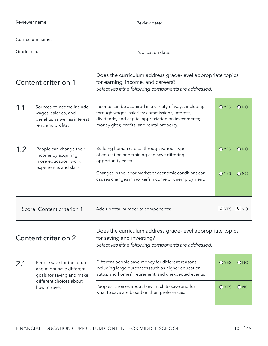|     | Reviewer name:<br>Review date:                                                                            |                                                                                                                                                                                                                |                |               |
|-----|-----------------------------------------------------------------------------------------------------------|----------------------------------------------------------------------------------------------------------------------------------------------------------------------------------------------------------------|----------------|---------------|
|     |                                                                                                           |                                                                                                                                                                                                                |                |               |
|     |                                                                                                           |                                                                                                                                                                                                                |                |               |
|     | <b>Content criterion 1</b>                                                                                | Does the curriculum address grade-level appropriate topics<br>for earning, income, and careers?<br>Select yes if the following components are addressed.                                                       |                |               |
| 1.1 | Sources of income include<br>wages, salaries, and<br>benefits, as well as interest,<br>rent, and profits. | Income can be acquired in a variety of ways, including<br>through wages; salaries; commissions; interest,<br>dividends, and capital appreciation on investments;<br>money gifts; profits; and rental property. | O YES          | $\bigcirc$ NO |
| 1.2 | People can change their<br>income by acquiring<br>more education, work<br>experience, and skills.         | Building human capital through various types<br>of education and training can have differing<br>opportunity costs.                                                                                             | $\bigcirc$ YES | $\bigcirc$ NO |
|     |                                                                                                           | Changes in the labor market or economic conditions can<br>causes changes in worker's income or unemployment.                                                                                                   | $O$ YES        | ONO           |
|     | Score: Content criterion 1                                                                                | Add up total number of components:                                                                                                                                                                             | $0$ YES $0$ NO |               |
|     | Content criterion 2                                                                                       | Does the curriculum address grade-level appropriate topics<br>for saving and investing?<br>Select yes if the following components are addressed.                                                               |                |               |
| 2.1 | People save for the future,<br>and might have different<br>goals for saving and make                      | Different people save money for different reasons,<br>including large purchases (such as higher education,<br>autos, and homes), retirement, and unexpected events.                                            | $O$ YES        | O NO          |
|     | different choices about<br>how to save.                                                                   | Peoples' choices about how much to save and for<br>what to save are based on their preferences.                                                                                                                | $O$ YES        | $\bigcirc$ NO |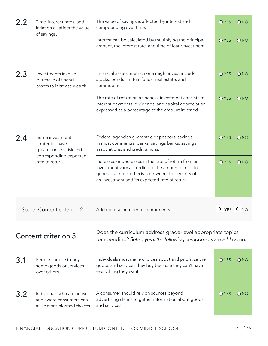| 2.2 | Time, interest rates, and<br>inflation all affect the value                          | The value of savings is affected by interest and<br>compounding over time.                                                                                                                                           | O YES          | ONO           |
|-----|--------------------------------------------------------------------------------------|----------------------------------------------------------------------------------------------------------------------------------------------------------------------------------------------------------------------|----------------|---------------|
|     | of savings.                                                                          | Interest can be calculated by multiplying the principal<br>amount, the interest rate, and time of loan/investment.                                                                                                   | O YES          | $\bigcirc$ NO |
| 2.3 | Investments involve<br>purchase of financial<br>assets to increase wealth.           | Financial assets in which one might invest include<br>stocks, bonds, mutual funds, real estate, and<br>commodities.                                                                                                  | O YES          | ONO           |
|     |                                                                                      | The rate of return on a financial investment consists of<br>interest payments, dividends, and capital appreciation<br>expressed as a percentage of the amount invested.                                              | O YES          | $\bigcirc$ NO |
| 2.4 | Some investment<br>strategies have<br>greater or less risk and                       | Federal agencies guarantee depositors' savings<br>in most commercial banks, savings banks, savings<br>associations, and credit unions.                                                                               | <b>O</b> YES   | $\bigcirc$ NO |
|     | corresponding expected<br>rate of return.                                            | Increases or decreases in the rate of return from an<br>investment vary according to the amount of risk. In<br>general, a trade-off exists between the security of<br>an investment and its expected rate of return. | O YES          | $\bigcirc$ NO |
|     | Score: Content criterion 2                                                           | Add up total number of components:                                                                                                                                                                                   | $0$ YES $0$ NO |               |
|     | <b>Content criterion 3</b>                                                           | Does the curriculum address grade-level appropriate topics<br>for spending? Select yes if the following components are addressed.                                                                                    |                |               |
| 3.1 | People choose to buy<br>some goods or services<br>over others.                       | Individuals must make choices about and prioritize the<br>goods and services they buy because they can't have<br>everything they want.                                                                               | $\bigcirc$ YES | O NO          |
| 3.2 | Individuals who are active<br>and aware consumers can<br>make more informed choices. | A consumer should rely on sources beyond<br>advertising claims to gather information about goods<br>and services.                                                                                                    | $\bigcirc$ YES | () NO         |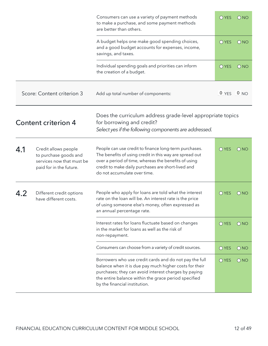|     |                                                                                                       | Consumers can use a variety of payment methods<br>to make a purchase, and some payment methods<br>are better than others.                                                                                                                                         | O YES          | $\bigcirc$ NO |
|-----|-------------------------------------------------------------------------------------------------------|-------------------------------------------------------------------------------------------------------------------------------------------------------------------------------------------------------------------------------------------------------------------|----------------|---------------|
|     |                                                                                                       | A budget helps one make good spending choices,<br>and a good budget accounts for expenses, income,<br>savings, and taxes.                                                                                                                                         | O YES          | $\bigcirc$ NO |
|     |                                                                                                       | Individual spending goals and priorities can inform<br>the creation of a budget.                                                                                                                                                                                  | $O$ YES        | ONO           |
|     | Score: Content criterion 3                                                                            | Add up total number of components:                                                                                                                                                                                                                                | $0$ YES $0$ NO |               |
|     | <b>Content criterion 4</b>                                                                            | Does the curriculum address grade-level appropriate topics<br>for borrowing and credit?<br>Select yes if the following components are addressed.                                                                                                                  |                |               |
| 4.1 | Credit allows people<br>to purchase goods and<br>services now that must be<br>paid for in the future. | People can use credit to finance long-term purchases.<br>The benefits of using credit in this way are spread out<br>over a period of time, whereas the benefits of using<br>credit to make daily purchases are short-lived and<br>do not accumulate over time.    | O YES          | $\bigcirc$ NO |
|     | Different credit options<br>have different costs.                                                     | People who apply for loans are told what the interest<br>rate on the loan will be. An interest rate is the price<br>of using someone else's money, often expressed as<br>an annual percentage rate.                                                               | $O$ YES        | O NO          |
|     |                                                                                                       | Interest rates for loans fluctuate based on changes<br>in the market for loans as well as the risk of<br>non-repayment.                                                                                                                                           | O YES          | O NO          |
|     |                                                                                                       | Consumers can choose from a variety of credit sources.                                                                                                                                                                                                            | O YES          | $\bigcirc$ NO |
|     |                                                                                                       | Borrowers who use credit cards and do not pay the full<br>balance when it is due pay much higher costs for their<br>purchases; they can avoid interest charges by paying<br>the entire balance within the grace period specified<br>by the financial institution. | O YES          | O NO          |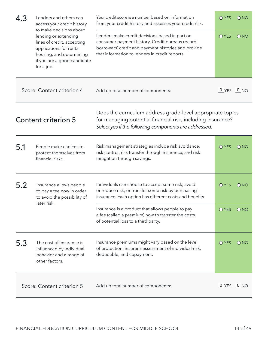| 4.3 | Lenders and others can<br>access your credit history<br>to make decisions about                                                                        | Your credit score is a number based on information<br>from your credit history and assesses your credit risk.                                                                                              | O YES          | O NO            |
|-----|--------------------------------------------------------------------------------------------------------------------------------------------------------|------------------------------------------------------------------------------------------------------------------------------------------------------------------------------------------------------------|----------------|-----------------|
|     | lending or extending<br>lines of credit, accepting<br>applications for rental<br>housing, and determining<br>if you are a good candidate<br>for a job. | Lenders make credit decisions based in part on<br>consumer payment history. Credit bureaus record<br>borrowers' credit and payment histories and provide<br>that information to lenders in credit reports. | O YES          | $\bigcirc$ NO   |
|     | Score: Content criterion 4                                                                                                                             | Add up total number of components:                                                                                                                                                                         | $0$ YES $0$ NO |                 |
|     | <b>Content criterion 5</b>                                                                                                                             | Does the curriculum address grade-level appropriate topics<br>for managing potential financial risk, including insurance?<br>Select yes if the following components are addressed.                         |                |                 |
| 5.1 | People make choices to<br>protect themselves from<br>financial risks.                                                                                  | Risk management strategies include risk avoidance,<br>risk control, risk transfer through insurance, and risk<br>mitigation through savings.                                                               | O YES          | ONO             |
| 5.2 | Insurance allows people<br>to pay a fee now in order<br>to avoid the possibility of                                                                    | Individuals can choose to accept some risk, avoid<br>or reduce risk, or transfer some risk by purchasing<br>insurance. Each option has different costs and benefits.                                       | O YES          | $\bigcirc$ NO   |
|     | later risk.                                                                                                                                            | Insurance is a product that allows people to pay<br>a fee (called a premium) now to transfer the costs<br>of potential loss to a third party.                                                              | O YES          | $\bigcirc$ NO   |
| 5.3 | The cost of insurance is<br>influenced by individual<br>behavior and a range of<br>other factors.                                                      | Insurance premiums might vary based on the level<br>of protection, insurer's assessment of individual risk,<br>deductible, and copayment.                                                                  | O YES          | $\bigcirc$ NO   |
|     | Score: Content criterion 5                                                                                                                             | Add up total number of components:                                                                                                                                                                         | 0 YES          | 0 <sub>NO</sub> |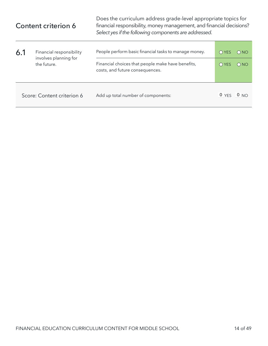| Content criterion 6 |                                                                  | Does the curriculum address grade-level appropriate topics for<br>financial responsibility, money management, and financial decisions?<br>Select yes if the following components are addressed. |                                |                                |  |
|---------------------|------------------------------------------------------------------|-------------------------------------------------------------------------------------------------------------------------------------------------------------------------------------------------|--------------------------------|--------------------------------|--|
| 6.1                 | Financial responsibility<br>involves planning for<br>the future. | People perform basic financial tasks to manage money.<br>Financial choices that people make have benefits,<br>costs, and future consequences.                                                   | $\bigcap$ YES<br>$\bigcap$ YES | $\bigcirc$ NO<br>$\bigcirc$ NO |  |
|                     | Score: Content criterion 6                                       | Add up total number of components:                                                                                                                                                              | 0 YES                          | 0 <sub>NO</sub>                |  |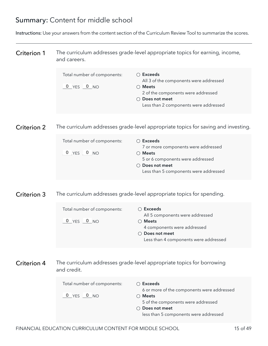# Summary: Content for middle school

Instructions: Use your answers from the content section of the Curriculum Review Tool to summarize the scores.

| <b>Criterion 1</b> | and careers.                                  | The curriculum addresses grade-level appropriate topics for earning, income,                                                                                                           |
|--------------------|-----------------------------------------------|----------------------------------------------------------------------------------------------------------------------------------------------------------------------------------------|
|                    | Total number of components:<br>$0$ YES $0$ NO | $\bigcirc$ Exceeds<br>All 3 of the components were addressed<br>$\bigcirc$ Meets<br>2 of the components were addressed<br>○ Does not meet<br>Less than 2 components were addressed     |
| <b>Criterion 2</b> |                                               | The curriculum addresses grade-level appropriate topics for saving and investing.                                                                                                      |
|                    | Total number of components:<br>0 YES 0 NO     | $\bigcirc$ Exceeds<br>7 or more components were addressed<br>$\bigcirc$ Meets<br>5 or 6 components were addressed<br>○ Does not meet<br>Less than 5 components were addressed          |
| <b>Criterion 3</b> |                                               | The curriculum addresses grade-level appropriate topics for spending.                                                                                                                  |
|                    | Total number of components:<br>0 YES 0 NO     | $\bigcirc$ Exceeds<br>All 5 components were addressed<br>$\bigcirc$ Meets<br>4 components were addressed<br>○ Does not meet<br>Less than 4 components were addressed                   |
| Criterion 4        | and credit.                                   | The curriculum addresses grade-level appropriate topics for borrowing                                                                                                                  |
|                    | Total number of components:<br>0 YES 0 NO     | $\bigcirc$ Exceeds<br>6 or more of the components were addressed<br>$\bigcirc$ Meets<br>5 of the components were addressed<br>○ Does not meet<br>less than 5 components were addressed |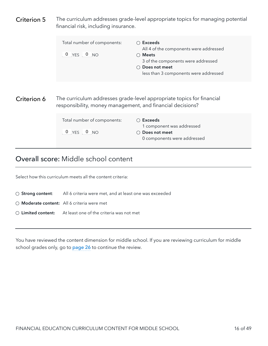<span id="page-17-0"></span>

| Criterion 5 | financial risk, including insurance.                       | The curriculum addresses grade-level appropriate topics for managing potential                                                                                                                |
|-------------|------------------------------------------------------------|-----------------------------------------------------------------------------------------------------------------------------------------------------------------------------------------------|
|             | Total number of components:<br>$0 YES \t 0 NO$             | $\bigcirc$ Exceeds<br>All 4 of the components were addressed<br>$\bigcirc$ Meets<br>3 of the components were addressed<br>Does not meet<br>$\bigcap$<br>less than 3 components were addressed |
| Criterion 6 | responsibility, money management, and financial decisions? | The curriculum addresses grade-level appropriate topics for financial                                                                                                                         |
|             | Total number of components:<br>$0$ YES $0$ NO              | ○ Exceeds<br>1 component was addressed<br>Does not meet<br>0 components were addressed                                                                                                        |

#### Overall score: Middle school content

Select how this curriculum meets all the content criteria:

- **Strong content**: All 6 criteria were met, and at least one was exceeded
- **Moderate content:** All 6 criteria were met
- **Limited content:** At least one of the criteria was not met

You have reviewed the content dimension for middle school. If you are reviewing curriculum for middle school grades only, go to [page 26](#page-27-0) to continue the review.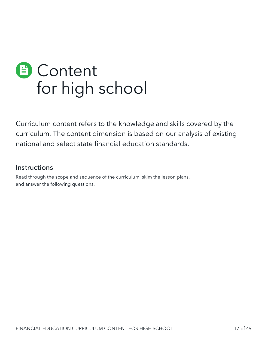<span id="page-18-0"></span>

Curriculum content refers to the knowledge and skills covered by the curriculum. The content dimension is based on our analysis of existing national and select state financial education standards.

#### **Instructions**

Read through the scope and sequence of the curriculum, skim the lesson plans, and answer the following questions.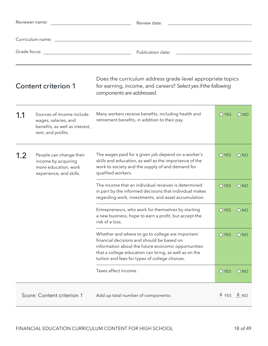| Reviewer name:<br><u>and the state of the state of the state of the state of the state of the state of the state of the state of the state of the state of the state of the state of the state of the state of the state of the state of the state</u> |                                                                                                           | Review date:                                                                                                                                                                                                                                                     |                |               |
|--------------------------------------------------------------------------------------------------------------------------------------------------------------------------------------------------------------------------------------------------------|-----------------------------------------------------------------------------------------------------------|------------------------------------------------------------------------------------------------------------------------------------------------------------------------------------------------------------------------------------------------------------------|----------------|---------------|
|                                                                                                                                                                                                                                                        |                                                                                                           |                                                                                                                                                                                                                                                                  |                |               |
|                                                                                                                                                                                                                                                        |                                                                                                           |                                                                                                                                                                                                                                                                  |                |               |
|                                                                                                                                                                                                                                                        | <b>Content criterion 1</b>                                                                                | Does the curriculum address grade-level appropriate topics<br>for earning, income, and careers? Select yes if the following<br>components are addressed.                                                                                                         |                |               |
| 1.1                                                                                                                                                                                                                                                    | Sources of income include<br>wages, salaries, and<br>benefits, as well as interest,<br>rent, and profits. | Many workers receive benefits, including health and<br>retirement benefits, in addition to their pay.                                                                                                                                                            | O YES          | $\bigcirc$ NO |
| 1.2                                                                                                                                                                                                                                                    | People can change their<br>income by acquiring<br>more education, work<br>experience, and skills.         | The wages paid for a given job depend on a worker's<br>skills and education, as well as the importance of the<br>work to society and the supply of and demand for<br>qualified workers.                                                                          | O YES          | O NO          |
|                                                                                                                                                                                                                                                        |                                                                                                           | The income that an individual receives is determined<br>in part by the informed decisions that individual makes<br>regarding work, investments, and asset accumulation.                                                                                          | O YES          | O NO          |
|                                                                                                                                                                                                                                                        |                                                                                                           | Entrepreneurs, who work for themselves by starting<br>a new business, hope to earn a profit, but accept the<br>risk of a loss.                                                                                                                                   | O YES          | $\bigcirc$ NO |
|                                                                                                                                                                                                                                                        |                                                                                                           | Whether and where to go to college are important<br>financial decisions and should be based on<br>information about the future economic opportunities<br>that a college education can bring, as well as on the<br>tuition and fees for types of college choices. | O YES          | $\bigcirc$ NO |
|                                                                                                                                                                                                                                                        |                                                                                                           | Taxes affect income.                                                                                                                                                                                                                                             | O YES          | O NO          |
| Score: Content criterion 1                                                                                                                                                                                                                             |                                                                                                           | Add up total number of components:                                                                                                                                                                                                                               | $0$ YES $0$ NO |               |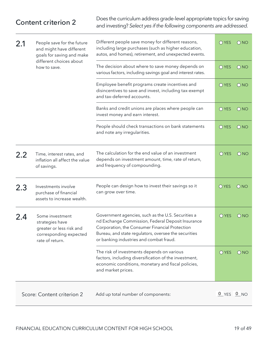Does the curriculum address grade-level appropriate topics for saving and investing? *Select yes if the following components are addressed.* Content criterion 2

| 2.1 | People save for the future<br>and might have different<br>goals for saving and make                         | Different people save money for different reasons,<br>including large purchases (such as higher education,<br>autos, and homes), retirement, and unexpected events.                                                                                          | O YES          | ONO           |
|-----|-------------------------------------------------------------------------------------------------------------|--------------------------------------------------------------------------------------------------------------------------------------------------------------------------------------------------------------------------------------------------------------|----------------|---------------|
|     | different choices about<br>how to save.                                                                     | The decision about where to save money depends on<br>various factors, including savings goal and interest rates.                                                                                                                                             | <b>O</b> YES   | $\bigcirc$ NO |
|     |                                                                                                             | Employee benefit programs create incentives and<br>disincentives to save and invest, including tax-exempt<br>and tax-deferred accounts.                                                                                                                      | O YES          | O NO          |
|     |                                                                                                             | Banks and credit unions are places where people can<br>invest money and earn interest.                                                                                                                                                                       | O YES          | O NO          |
|     |                                                                                                             | People should check transactions on bank statements<br>and note any irregularities.                                                                                                                                                                          | O YES          | O NO          |
| 2.2 | Time, interest rates, and<br>inflation all affect the value<br>of savings.                                  | The calculation for the end value of an investment<br>depends on investment amount, time, rate of return,<br>and frequency of compounding.                                                                                                                   | O YES          | ONO           |
| 2.3 | Investments involve<br>purchase of financial<br>assets to increase wealth.                                  | People can design how to invest their savings so it<br>can grow over time.                                                                                                                                                                                   | $O$ YES        | O NO          |
| 2.4 | Some investment<br>strategies have<br>greater or less risk and<br>corresponding expected<br>rate of return. | Government agencies, such as the U.S. Securities a<br>nd Exchange Commission, Federal Deposit Insurance<br>Corporation, the Consumer Financial Protection<br>Bureau, and state regulators, oversee the securities<br>or banking industries and combat fraud. | O YES          | ONO           |
|     |                                                                                                             | The risk of investments depends on various<br>factors, including diversification of the investment,<br>economic conditions, monetary and fiscal policies,<br>and market prices.                                                                              | <b>O</b> YES   | $\bigcirc$ NO |
|     | Score: Content criterion 2                                                                                  | Add up total number of components:                                                                                                                                                                                                                           | $0$ YES $0$ NO |               |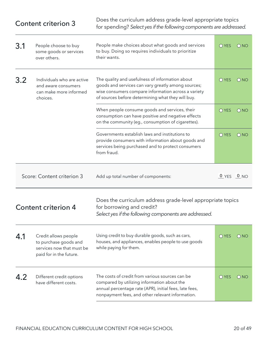|                                                                                                | <b>Content criterion 3</b>                                                                            | Does the curriculum address grade-level appropriate topics<br>for spending? Select yes if the following components are addressed.                                                                                 |                |               |
|------------------------------------------------------------------------------------------------|-------------------------------------------------------------------------------------------------------|-------------------------------------------------------------------------------------------------------------------------------------------------------------------------------------------------------------------|----------------|---------------|
| 3.1                                                                                            | People choose to buy<br>some goods or services<br>over others.                                        | People make choices about what goods and services<br>to buy. Doing so requires individuals to prioritize<br>their wants.                                                                                          | <b>O</b> YES   | $\bigcirc$ NO |
| 3.2<br>Individuals who are active<br>and aware consumers<br>can make more informed<br>choices. |                                                                                                       | The quality and usefulness of information about<br>goods and services can vary greatly among sources;<br>wise consumers compare information across a variety<br>of sources before determining what they will buy. | O YES          | O NO          |
|                                                                                                |                                                                                                       | When people consume goods and services, their<br>consumption can have positive and negative effects<br>on the community (eg., consumption of cigarettes).                                                         | O YES          | $\bigcirc$ NO |
|                                                                                                |                                                                                                       | Governments establish laws and institutions to<br>provide consumers with information about goods and<br>services being purchased and to protect consumers<br>from fraud.                                          | O YES          | O NO          |
|                                                                                                | Score: Content criterion 3                                                                            | Add up total number of components:                                                                                                                                                                                | $0$ YES $0$ NO |               |
|                                                                                                | <b>Content criterion 4</b>                                                                            | Does the curriculum address grade-level appropriate topics<br>for borrowing and credit?<br>Select yes if the following components are addressed.                                                                  |                |               |
| 4.1                                                                                            | Credit allows people<br>to purchase goods and<br>services now that must be<br>paid for in the future. | Using credit to buy durable goods, such as cars,<br>houses, and appliances, enables people to use goods<br>while paying for them.                                                                                 | O YES          | $\bigcirc$ NO |
| 4.2                                                                                            | Different credit options<br>have different costs.                                                     | The costs of credit from various sources can be<br>compared by utilizing information about the<br>annual percentage rate (APR), initial fees, late fees,<br>nonpayment fees, and other relevant information.      | O YES          | O NO          |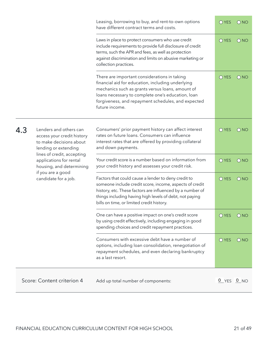|                                                                                                                                |                                                                                                                                                                                                                                                                                     | Leasing, borrowing to buy, and rent-to-own options<br>have different contract terms and costs.                                                                                                                                                                                     | $O$ YES      | $()$ NO         |
|--------------------------------------------------------------------------------------------------------------------------------|-------------------------------------------------------------------------------------------------------------------------------------------------------------------------------------------------------------------------------------------------------------------------------------|------------------------------------------------------------------------------------------------------------------------------------------------------------------------------------------------------------------------------------------------------------------------------------|--------------|-----------------|
|                                                                                                                                |                                                                                                                                                                                                                                                                                     | Laws in place to protect consumers who use credit<br>include requirements to provide full disclosure of credit<br>terms, such the APR and fees, as well as protection<br>against discrimination and limits on abusive marketing or<br>collection practices.                        | O YES        | O NO            |
|                                                                                                                                |                                                                                                                                                                                                                                                                                     | There are important considerations in taking<br>financial aid for education, including underlying<br>mechanics such as grants versus loans, amount of<br>loans necessary to complete one's education, loan<br>forgiveness, and repayment schedules, and expected<br>future income. | <b>O</b> YES | ONO             |
| 4.3                                                                                                                            | Lenders and others can<br>access your credit history<br>to make decisions about<br>lending or extending                                                                                                                                                                             | Consumers' prior payment history can affect interest<br>rates on future loans. Consumers can influence<br>interest rates that are offered by providing collateral<br>and down payments.                                                                                            | $O$ YES      | $\bigcirc$ NO   |
| lines of credit, accepting<br>applications for rental<br>housing, and determining<br>if you are a good<br>candidate for a job. |                                                                                                                                                                                                                                                                                     | Your credit score is a number based on information from<br>your credit history and assesses your credit risk.                                                                                                                                                                      | O YES        | O NO            |
|                                                                                                                                | Factors that could cause a lender to deny credit to<br>someone include credit score, income, aspects of credit<br>history, etc. These factors are influenced by a number of<br>things including having high levels of debt, not paying<br>bills on time, or limited credit history. | O YES                                                                                                                                                                                                                                                                              | O NO         |                 |
|                                                                                                                                |                                                                                                                                                                                                                                                                                     | One can have a positive impact on one's credit score<br>by using credit effectively, including engaging in good<br>spending choices and credit repayment practices.                                                                                                                | O YES        | $\bigcirc$ NO   |
|                                                                                                                                |                                                                                                                                                                                                                                                                                     | Consumers with excessive debt have a number of<br>options, including loan consolidation, renegotiation of<br>repayment schedules, and even declaring bankruptcy<br>as a last resort.                                                                                               | O YES        | O NO            |
|                                                                                                                                | Score: Content criterion 4                                                                                                                                                                                                                                                          | Add up total number of components:                                                                                                                                                                                                                                                 | 0 YES        | 0 <sub>NO</sub> |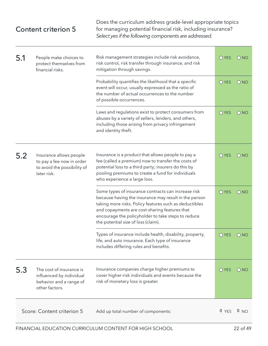### Content criterion 5

Does the curriculum address grade-level appropriate topics for managing potential financial risk, including insurance? *Select yes if the following components are addressed.*

| 5.1<br>People make choices to<br>protect themselves from<br>financial risks. |                                                                                                    | Risk management strategies include risk avoidance,<br>risk control, risk transfer through insurance, and risk<br>mitigation through savings.                                                                                                                                                                         | O YES<br>$\bigcirc$ NO |               |
|------------------------------------------------------------------------------|----------------------------------------------------------------------------------------------------|----------------------------------------------------------------------------------------------------------------------------------------------------------------------------------------------------------------------------------------------------------------------------------------------------------------------|------------------------|---------------|
|                                                                              |                                                                                                    | Probability quantifies the likelihood that a specific<br>event will occur, usually expressed as the ratio of<br>the number of actual occurrences to the number<br>of possible occurrences.                                                                                                                           | O YES                  | $\bigcirc$ NO |
|                                                                              |                                                                                                    | Laws and regulations exist to protect consumers from<br>abuses by a variety of sellers, lenders, and others,<br>including those arising from privacy infringement<br>and identity theft.                                                                                                                             | O YES                  | O NO          |
| 5.2                                                                          | Insurance allows people<br>to pay a fee now in order<br>to avoid the possibility of<br>later risk. | Insurance is a product that allows people to pay a<br>fee (called a premium) now to transfer the costs of<br>potential loss to a third party; insurers do this by<br>pooling premiums to create a fund for individuals<br>who experience a large loss.                                                               | O YES                  | ONO           |
|                                                                              |                                                                                                    | Some types of insurance contracts can increase risk<br>because having the insurance may result in the person<br>taking more risks. Policy features such as deductibles<br>and copayments are cost-sharing features that<br>encourage the policyholder to take steps to reduce<br>the potential size of loss (claim). | O YES                  | O NO          |
|                                                                              |                                                                                                    | Types of insurance include health, disability, property,<br>life, and auto insurance. Each type of insurance<br>includes differing rules and benefits.                                                                                                                                                               | O YES                  | $\bigcirc$ NO |
| 5.3                                                                          | The cost of insurance is<br>influenced by individual<br>behavior and a range of<br>other factors.  | Insurance companies charge higher premiums to<br>cover higher-risk individuals and events because the<br>risk of monetary loss is greater.                                                                                                                                                                           | O YES                  | ONO           |
|                                                                              | Score: Content criterion 5                                                                         | Add up total number of components:                                                                                                                                                                                                                                                                                   | $0$ YES $0$ NO         |               |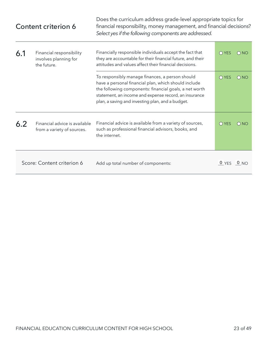| Content criterion 6 |                                                                  | Does the curriculum address grade-level appropriate topics for<br>financial responsibility, money management, and financial decisions?<br>Select yes if the following components are addressed.                                                                                |                |               |
|---------------------|------------------------------------------------------------------|--------------------------------------------------------------------------------------------------------------------------------------------------------------------------------------------------------------------------------------------------------------------------------|----------------|---------------|
| 6.1                 | Financial responsibility<br>involves planning for<br>the future. | Financially responsible individuals accept the fact that<br>they are accountable for their financial future, and their<br>attitudes and values affect their financial decisions.                                                                                               | $O$ YES        | $\bigcirc$ NO |
|                     |                                                                  | To responsibly manage finances, a person should<br>have a personal financial plan, which should include<br>the following components: financial goals, a net worth<br>statement, an income and expense record, an insurance<br>plan, a saving and investing plan, and a budget. | $O$ YES        | $\bigcirc$ NO |
| 6.2                 | Financial advice is available<br>from a variety of sources.      | Financial advice is available from a variety of sources,<br>such as professional financial advisors, books, and<br>the internet.                                                                                                                                               | $O$ YES        | $\bigcirc$ NO |
|                     | Score: Content criterion 6                                       | Add up total number of components:                                                                                                                                                                                                                                             | $0$ YES $0$ NO |               |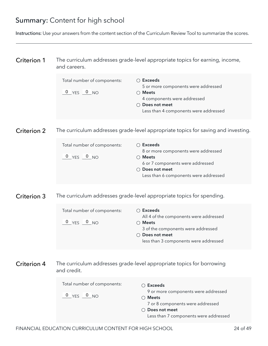### Summary: Content for high school

Instructions: Use your answers from the content section of the Curriculum Review Tool to summarize the scores.

| <b>Criterion 1</b> | The curriculum addresses grade-level appropriate topics for earning, income, |
|--------------------|------------------------------------------------------------------------------|
|                    | and careers.                                                                 |

| Total number of components: | $\bigcirc$ Exceeds                    |
|-----------------------------|---------------------------------------|
|                             | 5 or more components were addressed   |
| $0$ $YES$ $0$ $NO$          | <b>Meets</b>                          |
|                             | 4 components were addressed           |
|                             | $\bigcirc$ Does not meet              |
|                             | Less than 4 components were addressed |
|                             |                                       |

The curriculum addresses grade-level appropriate topics for saving and investing. Criterion 2

| Total number of components: | $\circlearrowright$ Exceeds<br>8 or more components were addressed |
|-----------------------------|--------------------------------------------------------------------|
| $0$ $YES$ $0$ $NO$          | $\supset$ Meets<br>6 or 7 components were addressed                |
|                             | $\bigcirc$ Does not meet                                           |
|                             | Less than 6 components were addressed                              |

The curriculum addresses grade-level appropriate topics for spending. Criterion 3

| Total number of components: | $\bigcirc$ Exceeds                     |
|-----------------------------|----------------------------------------|
|                             | All 4 of the components were addressed |
| $0$ YES $0$ NO              | $\bigcirc$ Meets                       |
|                             | 3 of the components were addressed     |
|                             | $\bigcirc$ Does not meet               |
|                             | less than 3 components were addressed  |

The curriculum addresses grade-level appropriate topics for borrowing and credit. Criterion 4

| Total number of components: | Exceeds                               |
|-----------------------------|---------------------------------------|
|                             | 9 or more components were addressed   |
| $0$ $YES$ $0$ $NO$          | Meets                                 |
|                             | 7 or 8 components were addressed      |
|                             | ◯ Does not meet                       |
|                             | Less than 7 components were addressed |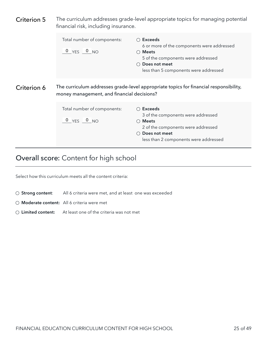<span id="page-26-0"></span>

| Criterion 5 | The curriculum addresses grade-level appropriate topics for managing potential<br>financial risk, including insurance. |                                                                                                                                                                                                 |  |  |
|-------------|------------------------------------------------------------------------------------------------------------------------|-------------------------------------------------------------------------------------------------------------------------------------------------------------------------------------------------|--|--|
|             | Total number of components:<br>$0$ YES $0$ NO                                                                          | $\bigcirc$ Exceeds<br>6 or more of the components were addressed<br>$\bigcirc$ Meets<br>5 of the components were addressed<br>$\bigcirc$ Does not meet<br>less than 5 components were addressed |  |  |
| Criterion 6 | money management, and financial decisions?                                                                             | The curriculum addresses grade-level appropriate topics for financial responsibility,                                                                                                           |  |  |
|             | Total number of components:<br>$0$ $YES$ $0$ $NO$                                                                      | $\bigcirc$ Exceeds<br>3 of the components were addressed<br>$\bigcirc$ Meets<br>2 of the components were addressed<br>Does not meet<br>less than 2 components were addressed                    |  |  |

## Overall score: Content for high school

Select how this curriculum meets all the content criteria:

- **Strong content**: All 6 criteria were met, and at least one was exceeded
- **Moderate content:** All 6 criteria were met
- **Limited content:** At least one of the criteria was not met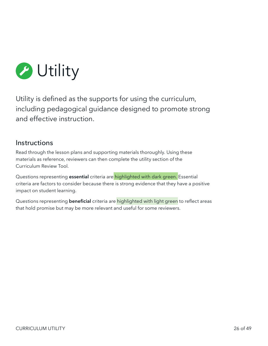<span id="page-27-0"></span>

Utility is defined as the supports for using the curriculum, including pedagogical guidance designed to promote strong and effective instruction.

#### Instructions

Read through the lesson plans and supporting materials thoroughly. Using these materials as reference, reviewers can then complete the utility section of the Curriculum Review Tool.

Questions representing **essential** criteria are highlighted with dark green. Essential criteria are factors to consider because there is strong evidence that they have a positive impact on student learning.

Questions representing **beneficial** criteria are highlighted with light green to reflect areas that hold promise but may be more relevant and useful for some reviewers.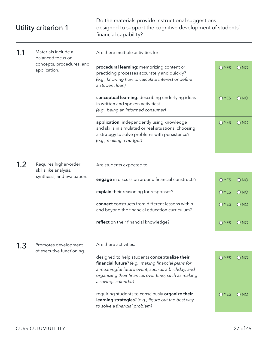|     | Utility criterion 1                               | Do the materials provide instructional suggestions<br>designed to support the cognitive development of students'<br>financial capability?                                                                                                |         |                 |
|-----|---------------------------------------------------|------------------------------------------------------------------------------------------------------------------------------------------------------------------------------------------------------------------------------------------|---------|-----------------|
| 1.1 | Materials include a<br>balanced focus on          | Are there multiple activities for:                                                                                                                                                                                                       |         |                 |
|     | concepts, procedures, and<br>application.         | procedural learning: memorizing content or<br>practicing processes accurately and quickly?<br>(e.g., knowing how to calculate interest or define<br>a student loan)                                                                      | O YES   | $\bigcirc$ NO   |
|     |                                                   | conceptual learning: describing underlying ideas<br>in written and spoken activities?<br>(e.g., being an informed consumer)                                                                                                              | $O$ YES | $\bigcirc$ NO   |
|     |                                                   | application: independently using knowledge<br>and skills in simulated or real situations, choosing<br>a strategy to solve problems with persistence?<br>(e.g., making a budget)                                                          | O YES   | $\bigcirc$ NO   |
| 1.2 | Requires higher-order<br>skills like analysis,    | Are students expected to:                                                                                                                                                                                                                |         |                 |
|     | synthesis, and evaluation.                        | engage in discussion around financial constructs?                                                                                                                                                                                        | O YES   | O NO            |
|     |                                                   | explain their reasoning for responses?                                                                                                                                                                                                   | O YES   | $\bigcirc$ NO   |
|     |                                                   | connect constructs from different lessons within<br>and beyond the financial education curriculum?                                                                                                                                       | $O$ YES | $\bigcirc$ NO   |
|     |                                                   | reflect on their financial knowledge?                                                                                                                                                                                                    | O YES   | O <sub>NO</sub> |
| 1.3 | Promotes development<br>of executive functioning. | Are there activities:                                                                                                                                                                                                                    |         |                 |
|     |                                                   | designed to help students conceptualize their<br>financial future? (e.g., making financial plans for<br>a meaningful future event, such as a birthday, and<br>organizing their finances over time, such as making<br>a savings calendar) | O YES   | O NO            |
|     |                                                   | requiring students to consciously organize their<br>learning strategies? (e.g., figure out the best way<br>to solve a financial problem)                                                                                                 | $O$ YES | O <sub>NO</sub> |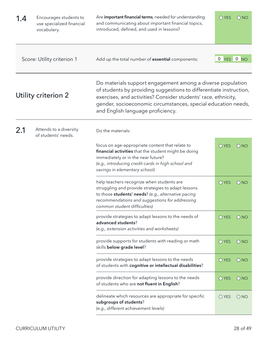| 1.4 | Encourages students to<br>use specialized financial<br>vocabulary. | Are important financial terms, needed for understanding<br>and communicating about important financial topics,<br>introduced, defined, and used in lessons?                                                                                                                                              | O YES   | $\bigcirc$ NO     |
|-----|--------------------------------------------------------------------|----------------------------------------------------------------------------------------------------------------------------------------------------------------------------------------------------------------------------------------------------------------------------------------------------------|---------|-------------------|
|     | Score: Utility criterion 1                                         | Add up the total number of essential components:                                                                                                                                                                                                                                                         | 0       | YES 0 NO          |
|     | Utility criterion 2                                                | Do materials support engagement among a diverse population<br>of students by providing suggestions to differentiate instruction,<br>exercises, and activities? Consider students' race, ethnicity,<br>gender, socioeconomic circumstances, special education needs,<br>and English language proficiency. |         |                   |
| 2.1 | Attends to a diversity<br>of students' needs.                      | Do the materials:                                                                                                                                                                                                                                                                                        |         |                   |
|     |                                                                    | focus on age-appropriate content that relate to<br>financial activities that the student might be doing<br>immediately or in the near future?<br>(e.g., introducing credit cards in high school and<br>savings in elementary school)                                                                     | O YES   | $\bigcirc$ NO     |
|     |                                                                    | help teachers recognize when students are<br>struggling and provide strategies to adapt lessons<br>to those students' needs? (e.g., alternative pacing<br>recommendations and suggestions for addressing<br>common student difficulties)                                                                 | O YES   | $\overline{O}$ NO |
|     |                                                                    | provide strategies to adapt lessons to the needs of<br>advanced students?<br>(e.g., extension activities and worksheets)                                                                                                                                                                                 | $O$ YES | $\bigcirc$ NO     |
|     |                                                                    | provide supports for students with reading or math<br>skills below grade level?                                                                                                                                                                                                                          | O YES   | O NO              |
|     |                                                                    | provide strategies to adapt lessons to the needs<br>of students with cognitive or intellectual disabilities?                                                                                                                                                                                             | O YES   | O NO              |
|     |                                                                    | provide direction for adapting lessons to the needs<br>of students who are not fluent in English?                                                                                                                                                                                                        | O YES   | $\bigcirc$ NO     |
|     |                                                                    | delineate which resources are appropriate for specific<br>subgroups of students?<br>(e.g., different achievement levels)                                                                                                                                                                                 | O YES   | ONO               |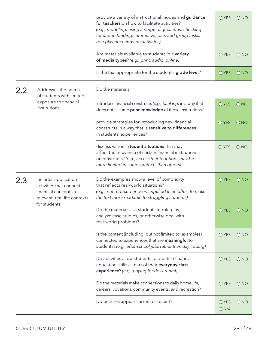|     |                                                                                                                           | provide a variety of instructional modes and guidance<br>for teachers on how to facilitate activities?<br>(e.g., modeling; using a range of questions; checking<br>for understanding; interactive, pair, and group tasks;<br>role playing; hands-on activities) | O YES         | $\bigcirc$ NO   |
|-----|---------------------------------------------------------------------------------------------------------------------------|-----------------------------------------------------------------------------------------------------------------------------------------------------------------------------------------------------------------------------------------------------------------|---------------|-----------------|
|     |                                                                                                                           | Are materials available to students in a variety<br>of media types? (e.g., print, audio, online)                                                                                                                                                                | O YES         | $\bigcirc$ NO   |
|     |                                                                                                                           | Is the text appropriate for the student's grade level?                                                                                                                                                                                                          | O YES         | O NO            |
| 2.2 | Addresses the needs<br>of students with limited                                                                           | Do the materials:                                                                                                                                                                                                                                               |               |                 |
|     | exposure to financial<br>institutions.                                                                                    | introduce financial constructs (e.g., banking) in a way that<br>does not assume prior knowledge of those institutions?                                                                                                                                          | $O$ YES       | O NO            |
|     |                                                                                                                           | provide strategies for introducing new financial<br>constructs in a way that is sensitive to differences<br>in students' experiences?                                                                                                                           | O YES         | $\bigcirc$ NO   |
|     |                                                                                                                           | discuss various student situations that may<br>affect the relevance of certain financial institutions<br>or constructs? (e.g., access to job options may be<br>more limited in some contexts than others)                                                       | O YES         | ONO             |
| 2.3 | Includes application<br>activities that connect<br>financial concepts to<br>relevant, real-life contexts<br>for students. | Do the examples show a level of complexity<br>that reflects real-world situations?<br>(e.g., not reduced or oversimplified in an effort to make<br>the text more readable to struggling students)                                                               | O YES         | $\bigcirc$ NO   |
|     |                                                                                                                           | Do the materials ask students to role play,<br>analyze case studies, or otherwise deal with<br>real-world problems?                                                                                                                                             | O YES         | O <sub>NO</sub> |
|     |                                                                                                                           | Is the content (including, but not limited to, examples)<br>connected to experiences that are meaningful to<br>students? (e.g., after-school jobs rather than day trading)                                                                                      | O YES         | $\bigcirc$ NO   |
|     |                                                                                                                           | Do activities allow students to practice financial<br>education skills as part of their everyday class<br>experience? (e.g., paying for desk rental)                                                                                                            | <b>O</b> YES  | ONO             |
|     |                                                                                                                           | Do the materials make connections to daily home life,<br>careers, vocations, community events, and recreation?                                                                                                                                                  | O YES         | $\bigcirc$ NO   |
|     |                                                                                                                           | Do pictures appear current or recent?                                                                                                                                                                                                                           | O YES<br>ON/A | ONO             |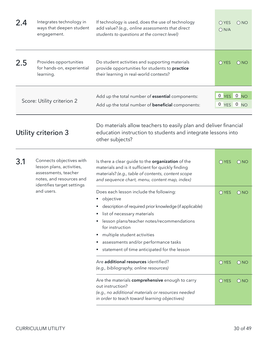| 2.4 | Integrates technology in<br>ways that deepen student<br>engagement. | If technology is used, does the use of technology<br>add value? (e.g., online assessments that direct<br>students to questions at the correct level) | OYES<br>ON/A                 | $\bigcap$ NO  |
|-----|---------------------------------------------------------------------|------------------------------------------------------------------------------------------------------------------------------------------------------|------------------------------|---------------|
| 2.5 | Provides opportunities<br>for hands-on, experiential<br>learning.   | Do student activities and supporting materials<br>provide opportunities for students to practice<br>their learning in real-world contexts?           | <b>O</b> YES                 | $\bigcirc$ NO |
|     | Score: Utility criterion 2                                          | Add up the total number of <b>essential</b> components:<br>Add up the total number of <b>beneficial</b> components:                                  | $0$ YES $0$ NO<br>0 YES 0 NO |               |

Utility criterion 3

Do materials allow teachers to easily plan and deliver financial education instruction to students and integrate lessons into other subjects?

| 3.1 | Connects objectives with<br>lesson plans, activities,<br>assessments, teacher<br>notes, and resources and<br>identifies target settings | Is there a clear guide to the organization of the<br>materials and is it sufficient for quickly finding<br>materials? (e.g., table of contents, content scope<br>and sequence chart, menu, content map, index) | $\bigcirc$ YES | $\bigcirc$ NO |
|-----|-----------------------------------------------------------------------------------------------------------------------------------------|----------------------------------------------------------------------------------------------------------------------------------------------------------------------------------------------------------------|----------------|---------------|
|     | and users.                                                                                                                              | Does each lesson include the following:<br>objective<br>description of required prior knowledge (if applicable)                                                                                                | $\bigcirc$ YES | $\bigcirc$ NO |
|     |                                                                                                                                         |                                                                                                                                                                                                                |                |               |
|     | list of necessary materials                                                                                                             |                                                                                                                                                                                                                |                |               |
|     |                                                                                                                                         | lesson plans/teacher notes/recommendations<br>for instruction                                                                                                                                                  |                |               |
|     |                                                                                                                                         | multiple student activities                                                                                                                                                                                    |                |               |
|     |                                                                                                                                         | assessments and/or performance tasks                                                                                                                                                                           |                |               |
|     |                                                                                                                                         | statement of time anticipated for the lesson                                                                                                                                                                   |                |               |
|     |                                                                                                                                         | Are additional resources identified?<br>(e.g., bibliography, online resources)                                                                                                                                 | $\bigcirc$ YES | $\bigcirc$ NO |
|     |                                                                                                                                         | Are the materials comprehensive enough to carry<br>out instruction?<br>(e.g., no additional materials or resources needed<br>in order to teach toward learning objectives)                                     | $O$ YES        | $\bigcirc$ NO |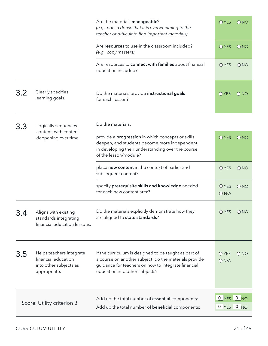|     |                                                                                           | Are the materials manageable?<br>(e.g., not so dense that it is overwhelming to the<br>teacher or difficult to find important materials)                                                                | O YES                        | O NO          |
|-----|-------------------------------------------------------------------------------------------|---------------------------------------------------------------------------------------------------------------------------------------------------------------------------------------------------------|------------------------------|---------------|
|     |                                                                                           | Are resources to use in the classroom included?<br>(e.g., copy masters)                                                                                                                                 | O YES                        | $\bigcirc$ NO |
|     |                                                                                           | Are resources to connect with families about financial<br>education included?                                                                                                                           | O YES                        | $\bigcirc$ NO |
| 3.2 | Clearly specifies<br>learning goals.                                                      | Do the materials provide instructional goals<br>for each lesson?                                                                                                                                        | $O$ YES                      | ONO           |
| 3.3 | Logically sequences<br>content, with content                                              | Do the materials:                                                                                                                                                                                       |                              |               |
|     | deepening over time.                                                                      | provide a <b>progression</b> in which concepts or skills<br>deepen, and students become more independent<br>in developing their understanding over the course<br>of the lesson/module?                  | O YES                        | O NO          |
|     |                                                                                           | place new content in the context of earlier and<br>subsequent content?                                                                                                                                  | O YES                        | $\bigcirc$ NO |
|     |                                                                                           | specify prerequisite skills and knowledge needed<br>for each new content area?                                                                                                                          | O YES<br>ON/A                | $\bigcirc$ NO |
| 3.4 | Aligns with existing<br>standards integrating<br>financial education lessons.             | Do the materials explicitly demonstrate how they<br>are aligned to state standards?                                                                                                                     | O YES                        | $\bigcirc$ NO |
| 3.5 | Helps teachers integrate<br>financial education<br>into other subjects as<br>appropriate. | If the curriculum is designed to be taught as part of<br>a course on another subject, do the materials provide<br>guidance for teachers on how to integrate financial<br>education into other subjects? | $O$ YES<br>ON/A              | ONO           |
|     | Score: Utility criterion 3                                                                | Add up the total number of <b>essential</b> components:<br>Add up the total number of <b>beneficial</b> components:                                                                                     | $0$ YES $0$ NO<br>0 YES 0 NO |               |
|     |                                                                                           |                                                                                                                                                                                                         |                              |               |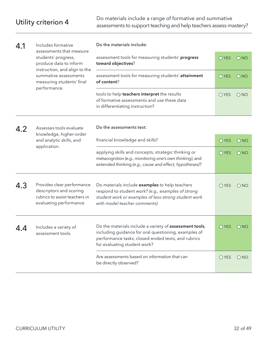| 4.1 | Includes formative<br>assessments that measure                                                                   | Do the materials include:                                                                                                                                                                             |                |                   |
|-----|------------------------------------------------------------------------------------------------------------------|-------------------------------------------------------------------------------------------------------------------------------------------------------------------------------------------------------|----------------|-------------------|
|     | students' progress,<br>produce data to inform<br>instruction, and align to the                                   | assessment tools for measuring students' progress<br>toward objectives?                                                                                                                               | O YES          | ONO               |
|     | summative assessments<br>measuring students' final<br>performance.                                               | assessment tools for measuring students' attainment<br>of content?                                                                                                                                    | $O$ YES        | $\bigcirc$ NO     |
|     |                                                                                                                  | tools to help teachers interpret the results<br>of formative assessments and use these data<br>in differentiating instruction?                                                                        | O YES          | $\bigcirc$ NO     |
| 4.2 | Assesses tools evaluate<br>knowledge, higher-order                                                               | Do the assessments test:                                                                                                                                                                              |                |                   |
|     | and analytic skills, and                                                                                         | financial knowledge and skills?                                                                                                                                                                       | <b>O</b> YES   | $\overline{O}$ NO |
|     | application.                                                                                                     | applying skills and concepts, strategic thinking or<br>metacognition (e.g., monitoring one's own thinking), and<br>extended thinking (e.g., cause and effect, hypotheses)?                            | O YES          | $\bigcirc$ NO     |
| 4.3 | Provides clear performance<br>descriptors and scoring<br>rubrics to assist teachers in<br>evaluating performance | Do materials include examples to help teachers<br>respond to student work? (e.g., examples of strong<br>student work or examples of less-strong student work<br>with model teacher comments)          | $O$ YES        | $\bigcirc$ NO     |
| 4.4 | Includes a variety of<br>assessment tools.                                                                       | Do the materials include a variety of assessment tools,<br>including guidance for oral questioning, examples of<br>performance tasks, closed-ended tests, and rubrics<br>for evaluating student work? | $\bigcirc$ YES | $\bigcirc$ NO     |
|     |                                                                                                                  | Are assessments based on information that can<br>be directly observed?                                                                                                                                | O YES          | $\bigcirc$ NO     |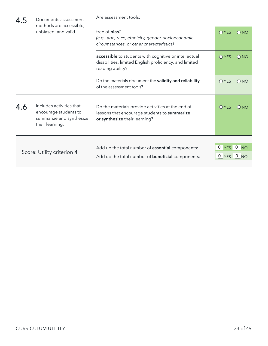| 4.5 | Documents assessment<br>methods are accessible,                                                  | Are assessment tools:                                                                                                               |                          |                 |
|-----|--------------------------------------------------------------------------------------------------|-------------------------------------------------------------------------------------------------------------------------------------|--------------------------|-----------------|
|     | unbiased, and valid.                                                                             | free of <b>bias</b> ?<br>(e.g., age, race, ethnicity, gender, socioeconomic<br>circumstances, or other characteristics)             | $O$ YES                  | ONO             |
|     |                                                                                                  | accessible to students with cognitive or intellectual<br>disabilities, limited English proficiency, and limited<br>reading ability? | $O$ YES                  | $\bigcirc$ NO   |
|     |                                                                                                  | Do the materials document the validity and reliability<br>of the assessment tools?                                                  | $O$ YES                  | $\bigcirc$ NO   |
| 4.6 | Includes activities that<br>encourage students to<br>summarize and synthesize<br>their learning. | Do the materials provide activities at the end of<br>lessons that encourage students to summarize<br>or synthesize their learning?  | <b>O</b> YES             | O <sub>NO</sub> |
|     | Score: Utility criterion 4                                                                       | Add up the total number of <b>essential</b> components:<br>Add up the total number of <b>beneficial</b> components:                 | 0 YES 0 NO<br>0 YES 0 NO |                 |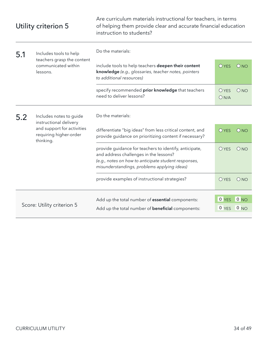Are curriculum materials instructional for teachers, in terms of helping them provide clear and accurate financial education instruction to students?

| 5.1 | Includes tools to help<br>teachers grasp the content<br>communicated within<br>lessons. | Do the materials:                                                                                                                                                                                       |                      |                 |
|-----|-----------------------------------------------------------------------------------------|---------------------------------------------------------------------------------------------------------------------------------------------------------------------------------------------------------|----------------------|-----------------|
|     |                                                                                         | include tools to help teachers deepen their content<br>knowledge (e.g., glossaries, teacher notes, pointers<br>to additional resources)                                                                 | <b>O</b> YES         | O <sub>NO</sub> |
|     |                                                                                         | specify recommended prior knowledge that teachers<br>need to deliver lessons?                                                                                                                           | <b>O</b> YES<br>ON/A | ONO             |
| 5.2 | Includes notes to guide<br>instructional delivery                                       | Do the materials:                                                                                                                                                                                       |                      |                 |
|     | and support for activities<br>requiring higher-order<br>thinking.                       | differentiate "big ideas" from less critical content, and<br>provide guidance on prioritizing content if necessary?                                                                                     | $O$ YES              | O <sub>NO</sub> |
|     |                                                                                         | provide guidance for teachers to identify, anticipate,<br>and address challenges in the lessons?<br>(e.g., notes on how to anticipate student responses,<br>misunderstandings, problems applying ideas) | <b>O</b> YES         | ONO             |
|     |                                                                                         | provide examples of instructional strategies?                                                                                                                                                           | $O$ YES              | ONO             |
|     |                                                                                         | Add up the total number of <b>essential</b> components:                                                                                                                                                 | 0 YES                | 0 <sub>NO</sub> |
|     | Score: Utility criterion 5                                                              | Add up the total number of <b>beneficial</b> components:                                                                                                                                                | 0 YES                | 0 NO            |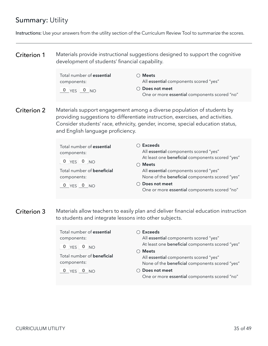### Summary: Utility

Instructions: Use your answers from the utility section of the Curriculum Review Tool to summarize the scores.

Materials provide instructional suggestions designed to support the cognitive development of students' financial capability. Criterion 1

| Total number of <b>essential</b> | $\bigcirc$ Meets                             |
|----------------------------------|----------------------------------------------|
| components:                      | All essential components scored "yes"        |
| $0$ $YES$ $0$ $NO$               | ◯ Does not meet                              |
|                                  | One or more essential components scored "no" |

Materials support engagement among a diverse population of students by providing suggestions to differentiate instruction, exercises, and activities. Consider students' race, ethnicity, gender, income, special education status, and English language proficiency. Criterion 2

| Total number of essential<br>components:<br>$0$ YES $0$ NO | ○ Exceeds<br>All essential components scored "yes"<br>At least one beneficial components scored "yes"<br><b>Meets</b> |
|------------------------------------------------------------|-----------------------------------------------------------------------------------------------------------------------|
| Total number of <b>beneficial</b><br>components:           | All essential components scored "yes"<br>None of the beneficial components scored "yes"                               |
| $0$ YES $0$ NO                                             | Does not meet<br>One or more essential components scored "no"                                                         |

Materials allow teachers to easily plan and deliver financial education instruction to students and integrate lessons into other subjects. Criterion 3

| Total number of <b>essential</b><br>components:<br>$0$ $YES$ $0$ $NO$<br>Total number of <b>beneficial</b><br>components: | <b>Exceeds</b><br>All essential components scored "yes"<br>At least one beneficial components scored "yes"<br><b>Meets</b><br>All essential components scored "yes"<br>None of the beneficial components scored "yes" |
|---------------------------------------------------------------------------------------------------------------------------|-----------------------------------------------------------------------------------------------------------------------------------------------------------------------------------------------------------------------|
| $0$ YES $0$ NO                                                                                                            | Does not meet<br>One or more essential components scored "no"                                                                                                                                                         |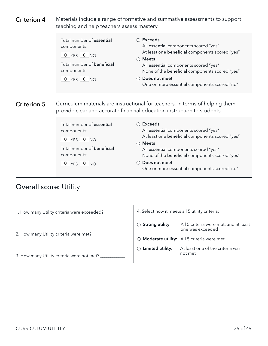<span id="page-37-0"></span>Materials include a range of formative and summative assessments to support teaching and help teachers assess mastery. Criterion 4

| Total number of essential<br>components:<br>$0$ YES $0$ NO<br>Total number of <b>beneficial</b><br>components:<br>$0$ YES $0$ NO | Exceeds<br>All essential components scored "yes"<br>At least one beneficial components scored "yes"<br>$\bigcirc$ Meets<br>All essential components scored "yes"<br>None of the beneficial components scored "yes"<br>$\bigcirc$ Does not meet<br>One or more essential components scored "no" |
|----------------------------------------------------------------------------------------------------------------------------------|------------------------------------------------------------------------------------------------------------------------------------------------------------------------------------------------------------------------------------------------------------------------------------------------|
|                                                                                                                                  | Curriculum materials are instructional for teachers, in terms of helping them<br>provide clear and accurate financial education instruction to students.                                                                                                                                       |

Total number of **essential** components: 0 YES 0 NO Total number of **beneficial** components:  $0$  YES  $0$  NO  **Exceeds** All essential components scored "yes" At least one beneficial components scored "yes"  **Meets** All essential components scored "yes" None of the beneficial components scored "yes"  **Does not meet** One or more essential components scored "no"

#### Overall score: Utility

Criterion 5

| 1. How many Utility criteria were exceeded? _ | 4. Select how it meets all 5 utility criteria: |                                                           |  |
|-----------------------------------------------|------------------------------------------------|-----------------------------------------------------------|--|
|                                               | $\circlearrowright$ Strong utility:            | All 5 criteria were met, and at least<br>one was exceeded |  |
| 2. How many Utility criteria were met? _      |                                                | $\bigcirc$ Moderate utility: All 5 criteria were met      |  |
| 3. How many Utility criteria were not met?    | Limited utility:                               | At least one of the criteria was<br>not met               |  |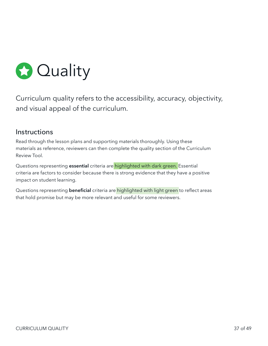<span id="page-38-0"></span>

Curriculum quality refers to the accessibility, accuracy, objectivity, and visual appeal of the curriculum.

#### **Instructions**

Read through the lesson plans and supporting materials thoroughly. Using these materials as reference, reviewers can then complete the quality section of the Curriculum Review Tool.

Questions representing **essential** criteria are highlighted with dark green. Essential criteria are factors to consider because there is strong evidence that they have a positive impact on student learning.

Questions representing **beneficial** criteria are highlighted with light green to reflect areas that hold promise but may be more relevant and useful for some reviewers.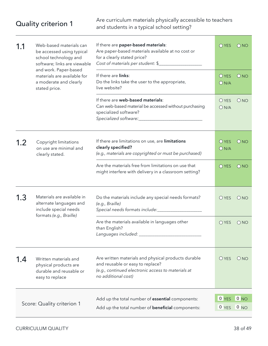Are curriculum materials physically accessible to teachers<br>and students in a typical school setting?

| 1.1 | Web-based materials can<br>be accessed using typical<br>school technology and<br>software; links are viewable<br>and work. Paper-based<br>materials are available for<br>a moderate and clearly<br>stated price. | If there are paper-based materials:<br>Are paper-based materials available at no cost or<br>for a clearly stated price?<br>Cost of materials per student: \$         |                      | ONO           |
|-----|------------------------------------------------------------------------------------------------------------------------------------------------------------------------------------------------------------------|----------------------------------------------------------------------------------------------------------------------------------------------------------------------|----------------------|---------------|
|     |                                                                                                                                                                                                                  | If there are links:<br>Do the links take the user to the appropriate,<br>live website?                                                                               | <b>O</b> YES<br>ON/A | ONO           |
|     |                                                                                                                                                                                                                  | If there are web-based materials:<br>Can web-based material be accessed without purchasing<br>specialized software?                                                  | <b>O</b> YES<br>ON/A | ONO           |
| 1.2 | Copyright limitations<br>on use are minimal and<br>clearly stated.                                                                                                                                               | If there are limitations on use, are limitations<br>clearly specified?<br>(e.g., materials are copyrighted or must be purchased)                                     | <b>O</b> YES<br>ON/A | ONO           |
|     |                                                                                                                                                                                                                  | Are the materials free from limitations on use that<br>might interfere with delivery in a classroom setting?                                                         | O YES                | $\bigcirc$ NO |
| 1.3 | Materials are available in<br>alternate languages and<br>include special needs<br>formats (e.g., Braille)                                                                                                        | Do the materials include any special needs formats?<br>(e.g., Braille)<br>Special needs formats include:_____________________                                        | $O$ YES              | ONO           |
|     |                                                                                                                                                                                                                  | Are the materials available in languages other<br>than English?<br>Languages included: _                                                                             | O YES                | ONO           |
| 1.4 | Written materials and<br>physical products are<br>durable and reusable or<br>easy to replace                                                                                                                     | Are written materials and physical products durable<br>and reusable or easy to replace?<br>(e.g., continued electronic access to materials at<br>no additional cost) | O YES                | ONO           |
|     | Score: Quality criterion 1                                                                                                                                                                                       | Add up the total number of essential components:                                                                                                                     | 0 YES                | 0 NO          |
|     |                                                                                                                                                                                                                  | Add up the total number of <b>beneficial</b> components:                                                                                                             | 0 YES                | 0 NO          |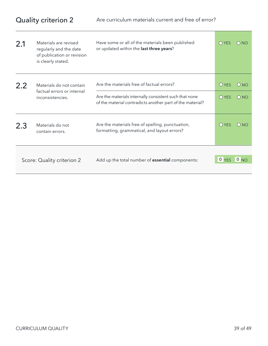| 2.1              | Materials are revised<br>regularly and the date<br>of publication or revision<br>is clearly stated.                 | Have some or all of the materials been published<br>or updated within the last three years?     | OYES          | ONO               |
|------------------|---------------------------------------------------------------------------------------------------------------------|-------------------------------------------------------------------------------------------------|---------------|-------------------|
| 2.2              | Materials do not contain<br>factual errors or internal                                                              | Are the materials free of factual errors?                                                       | OYFS          | O <sub>NO</sub>   |
| inconsistencies. | Are the materials internally consistent such that none<br>of the material contradicts another part of the material? | $\bigcap$ YES                                                                                   | $\bigcirc$ NO |                   |
| 2.3              | Materials do not<br>contain errors.                                                                                 | Are the materials free of spelling, punctuation,<br>formatting, grammatical, and layout errors? | OYFS          | O <sub>NO</sub>   |
|                  | Score: Quality criterion 2                                                                                          | Add up the total number of <b>essential</b> components:                                         | 0 YES         | $\overline{0}$ NO |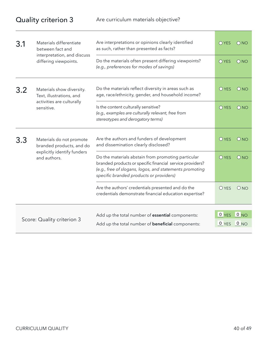| 3.1                                                          | Materials differentiate<br>between fact and                                                                                     | Are interpretations or opinions clearly identified<br>as such, rather than presented as facts?                                                                                                                        |                  | $\bigcirc$ NO           |
|--------------------------------------------------------------|---------------------------------------------------------------------------------------------------------------------------------|-----------------------------------------------------------------------------------------------------------------------------------------------------------------------------------------------------------------------|------------------|-------------------------|
| interpretation, and discuss<br>differing viewpoints.         |                                                                                                                                 | Do the materials often present differing viewpoints?<br>(e.g., preferences for modes of savings)                                                                                                                      | $O$ YES          | ONO                     |
| Materials show diversity.<br>3.2<br>Text, illustrations, and |                                                                                                                                 | Do the materials reflect diversity in areas such as<br>age, race/ethnicity, gender, and household income?                                                                                                             | OYFS             | O <sub>NO</sub>         |
| activities are culturally<br>sensitive.                      | Is the content culturally sensitive?<br>(e.g., examples are culturally relevant, free from<br>stereotypes and derogatory terms) | $O$ YES                                                                                                                                                                                                               | ONO              |                         |
| 3.3<br>and authors.                                          | Materials do not promote<br>branded products, and do                                                                            | Are the authors and funders of development<br>and dissemination clearly disclosed?                                                                                                                                    | OYFS             | O <sub>NO</sub>         |
|                                                              | explicitly identify funders                                                                                                     | Do the materials abstain from promoting particular<br>branded products or specific financial service providers?<br>(e.g., free of slogans, logos, and statements promoting<br>specific branded products or providers) | $O$ YES          | O <sub>NO</sub>         |
|                                                              |                                                                                                                                 | Are the authors' credentials presented and do the<br>credentials demonstrate financial education expertise?                                                                                                           | <b>O</b> YES     | ONO                     |
|                                                              |                                                                                                                                 |                                                                                                                                                                                                                       |                  |                         |
|                                                              | Score: Quality criterion 3                                                                                                      | Add up the total number of essential components:<br>Add up the total number of <b>beneficial</b> components:                                                                                                          | $0$ YES<br>0 YES | 0 NO<br>0 <sub>NO</sub> |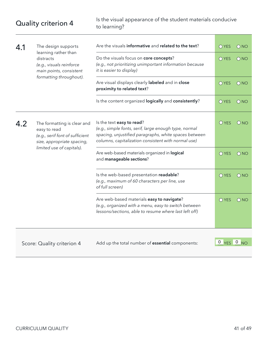Quality criterion 4 Is the visual appearance of the student materials conducive<br>to learning? to learning?

| 4.1 | The design supports<br>learning rather than<br>distracts<br>(e.g., visuals reinforce<br>main points, consistent | Are the visuals informative and related to the text?                                                                                                                                               |                                | $\bigcirc$ NO     |
|-----|-----------------------------------------------------------------------------------------------------------------|----------------------------------------------------------------------------------------------------------------------------------------------------------------------------------------------------|--------------------------------|-------------------|
|     |                                                                                                                 | Do the visuals focus on core concepts?<br>(e.g., not prioritizing unimportant information because<br>it is easier to display)                                                                      | O YES                          | ONO               |
|     | formatting throughout).                                                                                         | Are visual displays clearly labeled and in close<br>proximity to related text?                                                                                                                     | O YES                          | $\bigcirc$ NO     |
|     |                                                                                                                 | Is the content organized logically and consistently?                                                                                                                                               | O YES                          | ONO               |
| 4.2 | The formatting is clear and<br>easy to read<br>(e.g., serif font of sufficient<br>size, appropriate spacing,    | Is the text easy to read?<br>(e.g., simple fonts, serif, large enough type, normal<br>spacing, unjustified paragraphs, white spaces between<br>columns, capitalization consistent with normal use) | <b>O</b> YES                   | O <sub>NO</sub>   |
|     | limited use of capitals).                                                                                       | Are web-based materials organized in logical<br>and manageable sections?                                                                                                                           | O YES                          | $\bigcirc$ NO     |
|     |                                                                                                                 | Is the web-based presentation readable?<br>(e.g., maximum of 60 characters per line, use<br>of full screen)                                                                                        | O YES                          | $\overline{O}$ NO |
|     |                                                                                                                 | Are web-based materials easy to navigate?<br>(e.g., organized with a menu, easy to switch between<br>lessons/sections, able to resume where last left off)                                         | O YES                          | $\bigcirc$ NO     |
|     |                                                                                                                 |                                                                                                                                                                                                    |                                |                   |
|     | Score: Quality criterion 4                                                                                      | Add up the total number of essential components:                                                                                                                                                   | $0 \text{ Yes}$ $0 \text{ NO}$ |                   |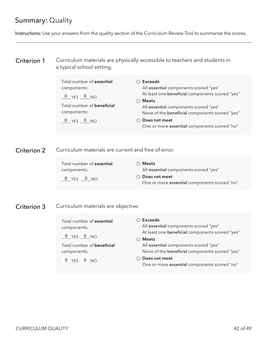### Summary: Quality

Instructions: Use your answers from the quality section of the Curriculum Review Tool to summarize the scores.

#### Curriculum materials are physically accessible to teachers and students in a typical school setting. Criterion 1

| Total number of essential<br>components:<br>$0$ YES $0$ NO | Exceeds<br>All essential components scored "yes"<br>At least one beneficial components scored "yes"<br>$\bigcirc$ Meets |
|------------------------------------------------------------|-------------------------------------------------------------------------------------------------------------------------|
| Total number of <b>beneficial</b><br>components:           | All essential components scored "yes"<br>None of the beneficial components scored "yes"                                 |
| $0 YES$ $0 NO$                                             | ◯ Does not meet<br>One or more essential components scored "no"                                                         |

Criterion 2 Curriculum materials are current and free of error.

| Total number of <b>essential</b> | $\bigcirc$ Meets                             |
|----------------------------------|----------------------------------------------|
| components:                      | All essential components scored "yes"        |
| $0$ YES $0$ NO                   | ◯ Does not meet                              |
|                                  | One or more essential components scored "no" |

Criterion 3 Curriculum materials are objective.

Total number of **essential** components:

0 YES 0 NO

Total number of **beneficial** components:

0 YES 0 NO

 **Exceeds**

All essential components scored "yes" At least one beneficial components scored "yes"

 **Meets**

All essential components scored "yes" None of the beneficial components scored "yes"

 **Does not meet** One or more essential components scored "no"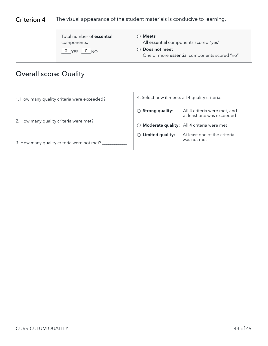#### <span id="page-44-0"></span>Criterion 4 The visual appearance of the student materials is conducive to learning.

| Total number of essential | $\bigcirc$ Meets                                                |
|---------------------------|-----------------------------------------------------------------|
| components:               | All essential components scored "yes"                           |
| $0$ YES $0$ NO            | ◯ Does not meet<br>One or more essential components scored "no" |

# Overall score: Quality

| 1. How many quality criteria were exceeded? | 4. Select how it meets all 4 quality criteria: |                                                           |
|---------------------------------------------|------------------------------------------------|-----------------------------------------------------------|
|                                             | $\circlearrowright$ Strong quality:            | All 4 criteria were met, and<br>at least one was exceeded |
| 2. How many quality criteria were met?      | ( )                                            | Moderate quality: All 4 criteria were met                 |
| 3. How many quality criteria were not met?  | Limited quality:<br>$\bigcap$                  | At least one of the criteria<br>was not met               |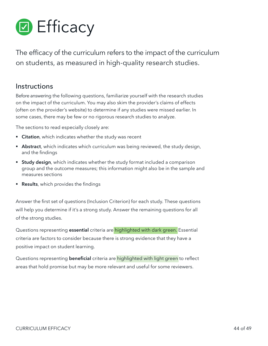<span id="page-45-0"></span>

The efficacy of the curriculum refers to the impact of the curriculum on students, as measured in high-quality research studies.

#### **Instructions**

Before answering the following questions, familiarize yourself with the research studies on the impact of the curriculum. You may also skim the provider's claims of effects (often on the provider's website) to determine if any studies were missed earlier. In some cases, there may be few or no rigorous research studies to analyze.

The sections to read especially closely are:

- **Example 2** Citation, which indicates whether the study was recent
- **Abstract**, which indicates which curriculum was being reviewed, the study design, and the findings
- **Study design**, which indicates whether the study format included a comparison group and the outcome measures; this information might also be in the sample and measures sections
- **Results**, which provides the findings

Answer the first set of questions (Inclusion Criterion) for each study. These questions will help you determine if it's a strong study. Answer the remaining questions for all of the strong studies.

Questions representing **essential** criteria are highlighted with dark green. Essential criteria are factors to consider because there is strong evidence that they have a positive impact on student learning.

Questions representing **beneficial** criteria are highlighted with light green to reflect areas that hold promise but may be more relevant and useful for some reviewers.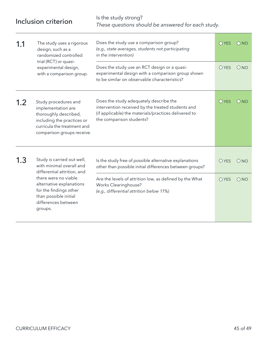| Inclusion criterion |                                                                                                                                                                                                                                | Is the study strong?<br>These questions should be answered for each study.                                                                                                                                                                       |                       |                 |  |
|---------------------|--------------------------------------------------------------------------------------------------------------------------------------------------------------------------------------------------------------------------------|--------------------------------------------------------------------------------------------------------------------------------------------------------------------------------------------------------------------------------------------------|-----------------------|-----------------|--|
| 1.1                 | The study uses a rigorous<br>design, such as a<br>randomized controlled<br>trial (RCT) or quasi-<br>experimental design,<br>with a comparison group.                                                                           | Does the study use a comparison group?<br>(e.g., state averages, students not participating<br>in the intervention)                                                                                                                              | $O$ YES               | $\bigcirc$ NO   |  |
|                     |                                                                                                                                                                                                                                | Does the study use an RCT design or a quasi-<br>experimental design with a comparison group shown<br>to be similar on observable characteristics?                                                                                                | <b>O</b> YES          | ONO             |  |
| 1.2                 | Study procedures and<br>implementation are<br>thoroughly described,<br>including the practices or<br>curricula the treatment and<br>comparison groups receive.                                                                 | Does the study adequately describe the<br>intervention received by the treated students and<br>(if applicable) the materials/practices delivered to<br>the comparison students?                                                                  | $O$ YES               | O <sub>NO</sub> |  |
| 1.3                 | Study is carried out well,<br>with minimal overall and<br>differential attrition, and<br>there were no viable<br>alternative explanations<br>for the findings other<br>than possible initial<br>differences between<br>groups. | Is the study free of possible alternative explanations<br>other than possible initial differences between groups?<br>Are the levels of attrition low, as defined by the What<br>Works Clearinghouse?<br>(e.g., differential attrition below 11%) | <b>O</b> YES<br>O YES | ONO<br>ONO      |  |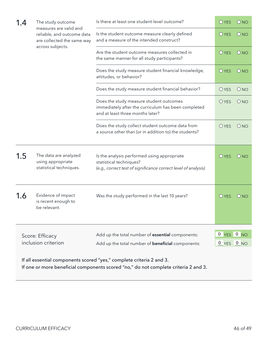| 1.4                                                                                                                                                         | The study outcome<br>measures are valid and<br>reliable, and outcome data<br>are collected the same way<br>across subjects. | Is there at least one student-level outcome?                                                                                             |                 | O <sub>NO</sub> |
|-------------------------------------------------------------------------------------------------------------------------------------------------------------|-----------------------------------------------------------------------------------------------------------------------------|------------------------------------------------------------------------------------------------------------------------------------------|-----------------|-----------------|
|                                                                                                                                                             |                                                                                                                             | Is the student outcome measure clearly defined<br>and a measure of the intended construct?                                               | <b>O</b> YES    | O <sub>NO</sub> |
|                                                                                                                                                             |                                                                                                                             | Are the student outcome measures collected in<br>the same manner for all study participants?                                             | <b>O</b> YES    | ONO             |
|                                                                                                                                                             |                                                                                                                             | Does the study measure student financial knowledge,<br>attitudes, or behavior?                                                           | <b>O</b> YES    | O <sub>NO</sub> |
|                                                                                                                                                             |                                                                                                                             | Does the study measure student financial behavior?                                                                                       | O YES           | ONO             |
|                                                                                                                                                             |                                                                                                                             | Does the study measure student outcomes<br>immediately after the curriculum has been completed<br>and at least three months later?       | <b>O</b> YES    | O <sub>NO</sub> |
|                                                                                                                                                             |                                                                                                                             | Does the study collect student outcome data from<br>a source other than (or in addition to) the students?                                | <b>O</b> YES    | ONO             |
| 1.5                                                                                                                                                         | The data are analyzed<br>using appropriate<br>statistical techniques.                                                       | Is the analysis performed using appropriate<br>statistical techniques?<br>(e.g., correct test of significance correct level of analysis) | $O$ YES         | O <sub>NO</sub> |
| 1.6                                                                                                                                                         | Evidence of impact<br>is recent enough to<br>be relevant.                                                                   | Was the study performed in the last 10 years?                                                                                            | $O$ YES         | ONO             |
| Add up the total number of essential components:<br>Score: Efficacy<br>inclusion criterion<br>Add up the total number of <b>beneficial</b> components:      |                                                                                                                             | 0<br><b>YES</b>                                                                                                                          | 0 <sub>NO</sub> |                 |
|                                                                                                                                                             |                                                                                                                             |                                                                                                                                          | 0 YES 0 NO      |                 |
| If all essential components scored "yes," complete criteria 2 and 3.<br>If one or more beneficial components scored "no," do not complete criteria 2 and 3. |                                                                                                                             |                                                                                                                                          |                 |                 |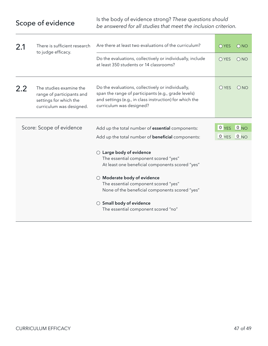| 2.1                      | There is sufficient research<br>to judge efficacy.                                                         | Are there at least two evaluations of the curriculum?                                                                                                                                                                                                             |         | $\bigcirc$ NO |
|--------------------------|------------------------------------------------------------------------------------------------------------|-------------------------------------------------------------------------------------------------------------------------------------------------------------------------------------------------------------------------------------------------------------------|---------|---------------|
|                          |                                                                                                            | Do the evaluations, collectively or individually, include<br>at least 350 students or 14 classrooms?                                                                                                                                                              | $O$ YES | ONO           |
| 2.2                      | The studies examine the<br>range of participants and<br>settings for which the<br>curriculum was designed. | Do the evaluations, collectively or individually,<br>span the range of participants (e.g., grade levels)<br>and settings (e.g., in class instruction) for which the<br>curriculum was designed?                                                                   | $O$ YES | ONO           |
| Score: Scope of evidence |                                                                                                            |                                                                                                                                                                                                                                                                   | 0 YES   | 0 NO          |
|                          |                                                                                                            | Add up the total number of <b>essential</b> components:                                                                                                                                                                                                           |         |               |
|                          |                                                                                                            | Add up the total number of <b>beneficial</b> components:                                                                                                                                                                                                          | 0 YES   | 0 NO          |
|                          |                                                                                                            | $\bigcirc$ Large body of evidence<br>The essential component scored "yes"<br>At least one beneficial components scored "yes"<br>Moderate body of evidence<br>$\bigcirc$<br>The essential component scored "yes"<br>None of the beneficial components scored "yes" |         |               |
|                          |                                                                                                            | $\bigcirc$ Small body of evidence<br>The essential component scored "no"                                                                                                                                                                                          |         |               |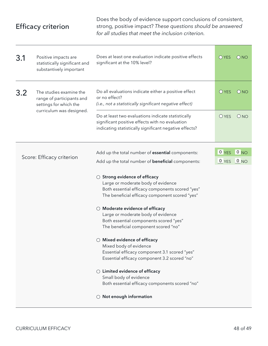## <span id="page-49-0"></span>Efficacy criterion

Does the body of evidence support conclusions of consistent, strong, positive impact? *These questions should be answered for all studies that meet the inclusion criterion.*

| 3.1                       | Positive impacts are<br>statistically significant and<br>substantively important                           | Does at least one evaluation indicate positive effects<br>significant at the 10% level?                                                                                                                                                | O YES        | $\bigcirc$ NO   |
|---------------------------|------------------------------------------------------------------------------------------------------------|----------------------------------------------------------------------------------------------------------------------------------------------------------------------------------------------------------------------------------------|--------------|-----------------|
| 3.2                       | The studies examine the<br>range of participants and<br>settings for which the<br>curriculum was designed. | Do all evaluations indicate either a positive effect<br>or no effect?<br>(i.e., not a statistically significant negative effect)                                                                                                       | $O$ YES      | ONO             |
|                           |                                                                                                            | Do at least two evaluations indicate statistically<br>significant positive effects with no evaluation<br>indicating statistically significant negative effects?                                                                        | <b>O</b> YES | ONO             |
|                           |                                                                                                            | Add up the total number of essential components:                                                                                                                                                                                       | $0$ YES      | 0 NO            |
| Score: Efficacy criterion |                                                                                                            | Add up the total number of <b>beneficial</b> components:                                                                                                                                                                               | 0 YES        | 0 <sub>NO</sub> |
|                           |                                                                                                            | $\circlearrowright$ Strong evidence of efficacy<br>Large or moderate body of evidence<br>Both essential efficacy components scored "yes"<br>The beneficial efficacy component scored "yes"<br>$\bigcirc$ Moderate evidence of efficacy |              |                 |
|                           |                                                                                                            | Large or moderate body of evidence<br>Both essential components scored "yes"<br>The beneficial component scored "no"                                                                                                                   |              |                 |
|                           |                                                                                                            | $\bigcirc$ Mixed evidence of efficacy<br>Mixed body of evidence<br>Essential efficacy component 3.1 scored "yes"<br>Essential efficacy component 3.2 scored "no"                                                                       |              |                 |
|                           |                                                                                                            | $\bigcirc$ Limited evidence of efficacy<br>Small body of evidence<br>Both essential efficacy components scored "no"                                                                                                                    |              |                 |
|                           |                                                                                                            | $\bigcirc$ Not enough information                                                                                                                                                                                                      |              |                 |